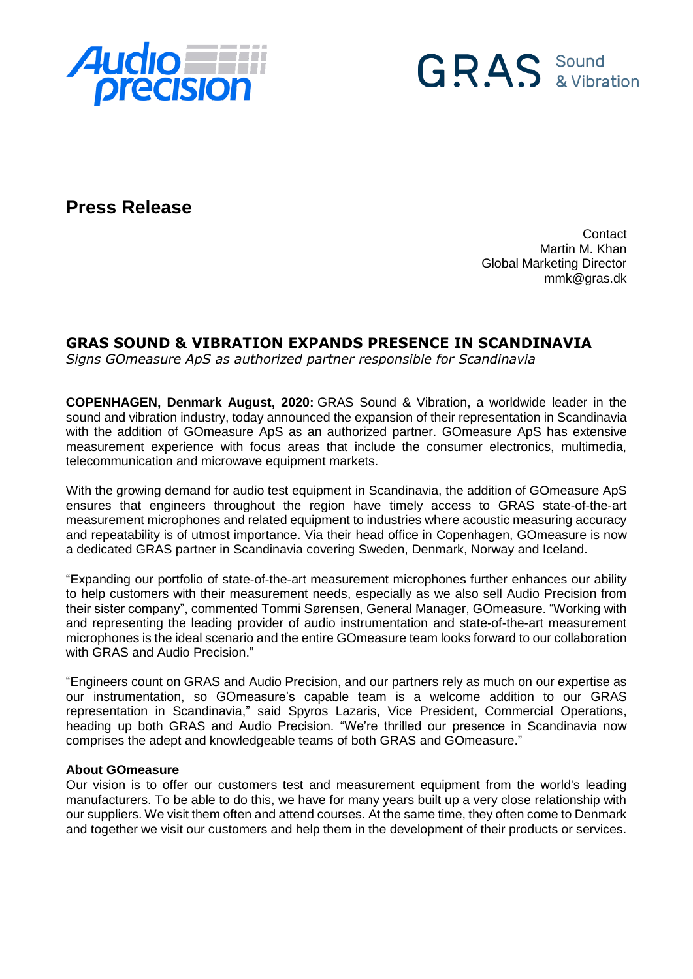



**Press Release**

**Contact** Martin M. Khan Global Marketing Director mmk@gras.dk

## **GRAS SOUND & VIBRATION EXPANDS PRESENCE IN SCANDINAVIA**

*Signs GOmeasure ApS as authorized partner responsible for Scandinavia*

**COPENHAGEN, Denmark August, 2020:** GRAS Sound & Vibration, a worldwide leader in the sound and vibration industry, today announced the expansion of their representation in Scandinavia with the addition of GOmeasure ApS as an authorized partner. GOmeasure ApS has extensive measurement experience with focus areas that include the consumer electronics, multimedia, telecommunication and microwave equipment markets.

With the growing demand for audio test equipment in Scandinavia, the addition of GOmeasure ApS ensures that engineers throughout the region have timely access to GRAS state-of-the-art measurement microphones and related equipment to industries where acoustic measuring accuracy and repeatability is of utmost importance. Via their head office in Copenhagen, GOmeasure is now a dedicated GRAS partner in Scandinavia covering Sweden, Denmark, Norway and Iceland.

"Expanding our portfolio of state-of-the-art measurement microphones further enhances our ability to help customers with their measurement needs, especially as we also sell Audio Precision from their sister company", commented Tommi Sørensen, General Manager, GOmeasure. "Working with and representing the leading provider of audio instrumentation and state-of-the-art measurement microphones is the ideal scenario and the entire GOmeasure team looks forward to our collaboration with GRAS and Audio Precision."

"Engineers count on GRAS and Audio Precision, and our partners rely as much on our expertise as our instrumentation, so GOmeasure's capable team is a welcome addition to our GRAS representation in Scandinavia," said Spyros Lazaris, Vice President, Commercial Operations, heading up both GRAS and Audio Precision. "We're thrilled our presence in Scandinavia now comprises the adept and knowledgeable teams of both GRAS and GOmeasure."

## **About GOmeasure**

Our vision is to offer our customers test and measurement equipment from the world's leading manufacturers. To be able to do this, we have for many years built up a very close relationship with our suppliers. We visit them often and attend courses. At the same time, they often come to Denmark and together we visit our customers and help them in the development of their products or services.